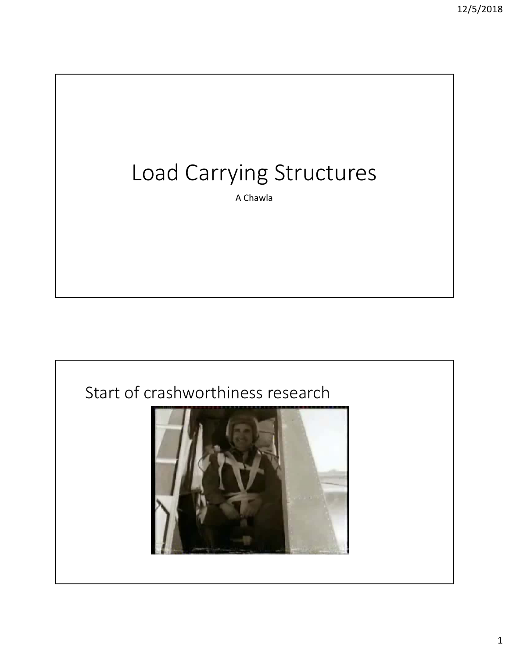# Load Carrying Structures

A Chawla

#### Start of crashworthiness research

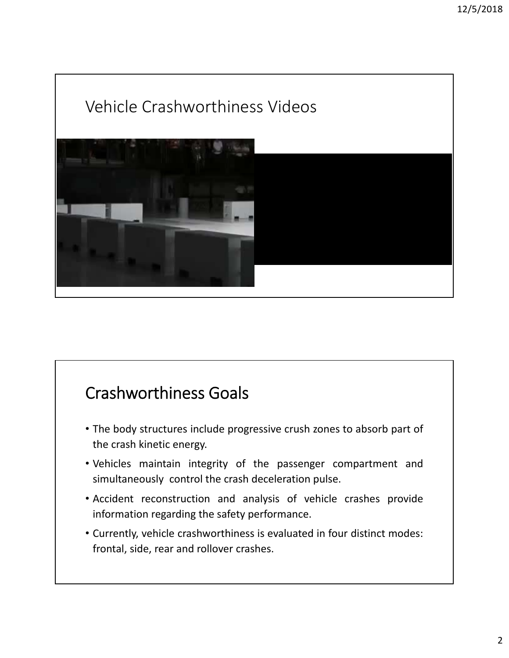### Vehicle Crashworthiness Videos



#### Crashworthiness Goals

- The body structures include progressive crush zones to absorb part of the crash kinetic energy.
- Vehicles maintain integrity of the passenger compartment and simultaneously control the crash deceleration pulse.
- Accident reconstruction and analysis of vehicle crashes provide information regarding the safety performance.
- Currently, vehicle crashworthiness is evaluated in four distinct modes: frontal, side, rear and rollover crashes.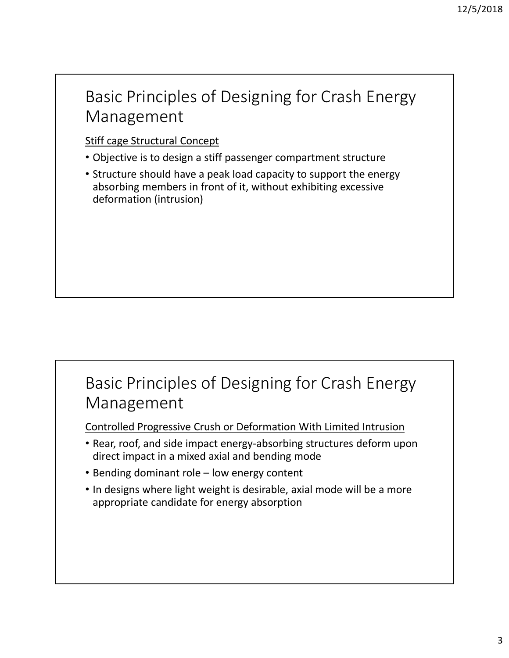#### Basic Principles of Designing for Crash Energy Management

#### Stiff cage Structural Concept

- Objective is to design a stiff passenger compartment structure
- Structure should have a peak load capacity to support the energy absorbing members in front of it, without exhibiting excessive deformation (intrusion)

#### Basic Principles of Designing for Crash Energy Management

Controlled Progressive Crush or Deformation With Limited Intrusion

- Rear, roof, and side impact energy‐absorbing structures deform upon direct impact in a mixed axial and bending mode
- Bending dominant role low energy content
- In designs where light weight is desirable, axial mode will be a more appropriate candidate for energy absorption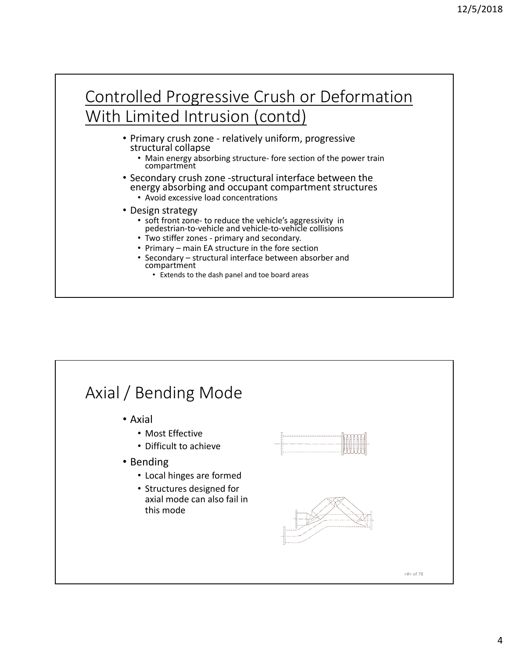#### Controlled Progressive Crush or Deformation With Limited Intrusion (contd)

- Primary crush zone ‐ relatively uniform, progressive structural collapse
	- Main energy absorbing structure- fore section of the power train compartment
- Secondary crush zone ‐structural interface between the energy absorbing and occupant compartment structures
	- Avoid excessive load concentrations
- Design strategy
	- soft front zone‐ to reduce the vehicle's aggressivity in pedestrian‐to‐vehicle and vehicle‐to‐vehicle collisions
	- Two stiffer zones ‐ primary and secondary.
	- Primary main EA structure in the fore section
	- Secondary structural interface between absorber and compartment
		- Extends to the dash panel and toe board areas

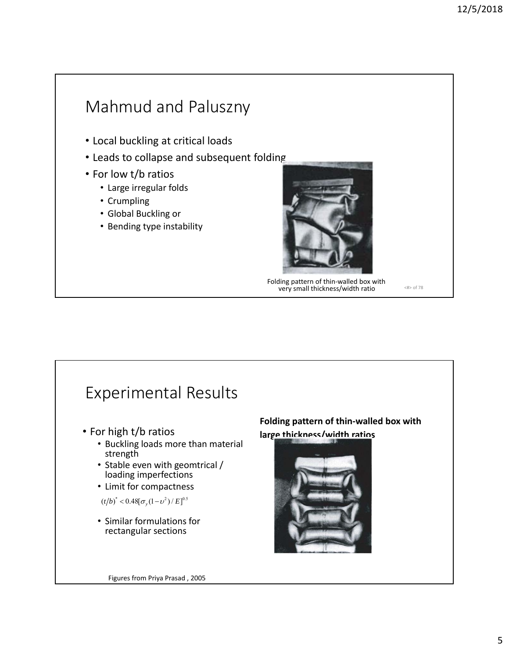#### Mahmud and Paluszny • Local buckling at critical loads • Leads to collapse and subsequent folding • For low t/b ratios • Large irregular folds • Crumpling • Global Buckling or • Bending type instability <#> of 78 Folding pattern of thin‐walled box with very small thickness/width ratio



5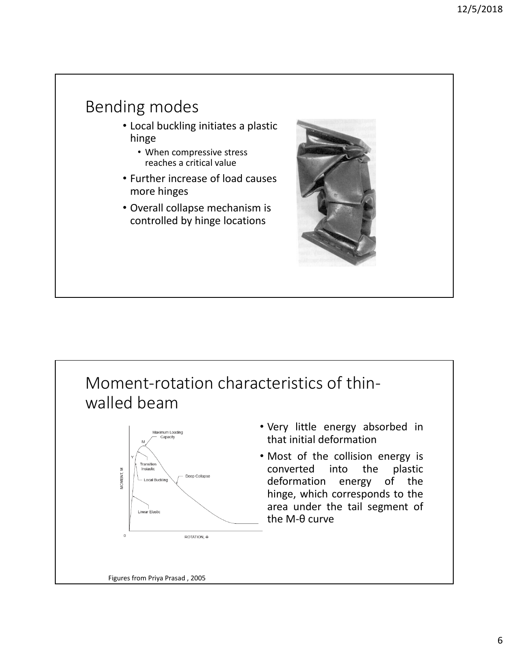#### Bending modes

- Local buckling initiates a plastic hinge
	- When compressive stress reaches a critical value
- Further increase of load causes more hinges
- Overall collapse mechanism is controlled by hinge locations



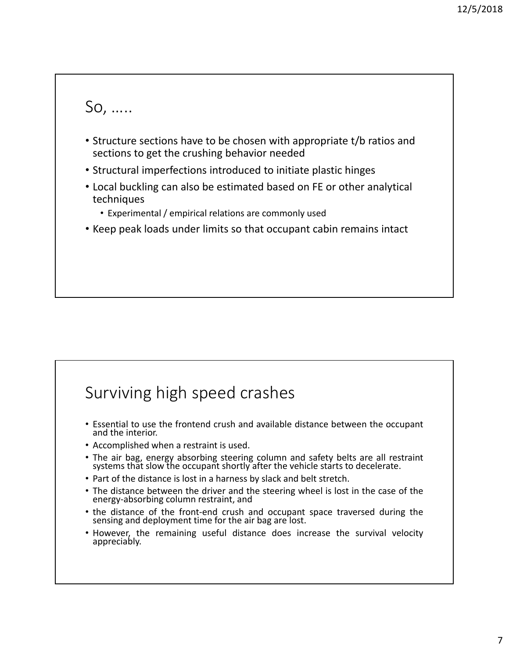

- Structure sections have to be chosen with appropriate t/b ratios and sections to get the crushing behavior needed
- Structural imperfections introduced to initiate plastic hinges
- Local buckling can also be estimated based on FE or other analytical techniques
	- Experimental / empirical relations are commonly used
- Keep peak loads under limits so that occupant cabin remains intact

#### Surviving high speed crashes

- Essential to use the frontend crush and available distance between the occupant and the interior.
- Accomplished when a restraint is used.
- The air bag, energy absorbing steering column and safety belts are all restraint systems that slow the occupant shortly after the vehicle starts to decelerate.
- Part of the distance is lost in a harness by slack and belt stretch.
- The distance between the driver and the steering wheel is lost in the case of the energy-absorbing column restraint, and
- the distance of the front-end crush and occupant space traversed during the sensing and deployment time for the air bag are lost.
- However, the remaining useful distance does increase the survival velocity appreciably.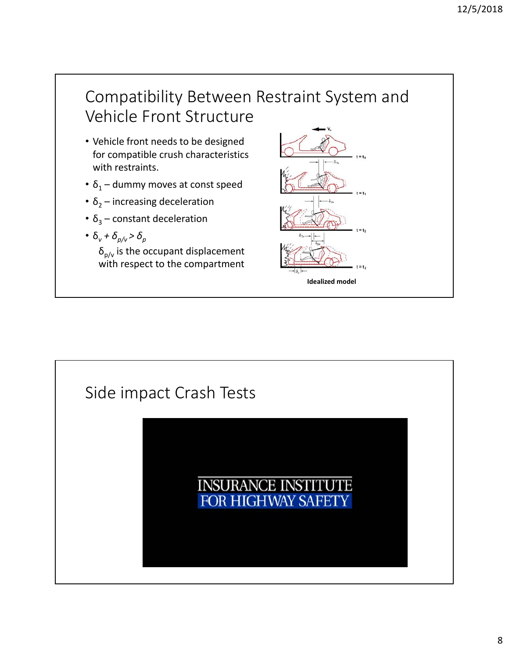#### Compatibility Between Restraint System and Vehicle Front Structure

- Vehicle front needs to be designed for compatible crush characteristics with restraints.
- $\delta_1$  dummy moves at const speed
- $\delta_2$  increasing deceleration
- $\delta_3$  constant deceleration
- $\delta_v + \delta_{p/v} > \delta_p$

 $\delta_{p/v}$  is the occupant displacement with respect to the compartment



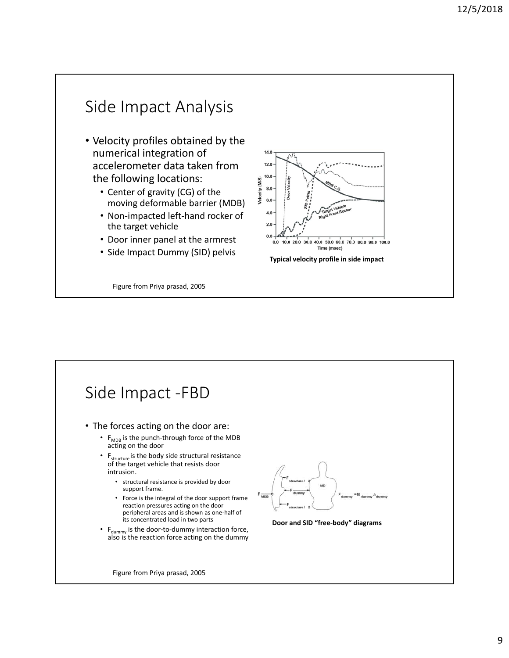#### Side Impact Analysis • Velocity profiles obtained by the numerical integration of 14.0 accelerometer data taken from  $12.0$ the following locations:  $10.0$ Velocity (M/S)  $8.0 \cdot$ • Center of gravity (CG) of the  $6.0\,$ moving deformable barrier (MDB) • Non‐impacted left‐hand rocker of the target vehicle  $2.0$  $0.0$ • Door inner panel at the armrest 0.0 10.0 20.0 30.0 40.0 50.0 60.0 70.0 80.0 90.0 100.0 • Side Impact Dummy (SID) pelvis<br>Typical velocity profile in side impact Figure from Priya prasad, 2005

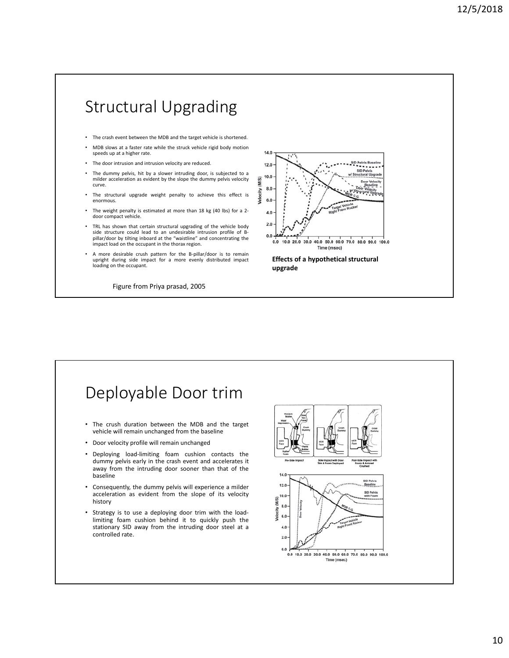#### Structural Upgrading

- The crash event between the MDB and the target vehicle is shortened.
- MDB slows at a faster rate while the struck vehicle rigid body motion speeds up at a higher rate.
- The door intrusion and intrusion velocity are reduced
- The dummy pelvis, hit by a slower intruding door, is subjected to a milder acceleration as evident by the slope the dummy pelvis velocity curve.
- The structural upgrade weight penalty to achieve this effect is enormous.
- The weight penalty is estimated at more than 18 kg (40 lbs) for a 2door compact vehicle.
- TRL has shown that certain structural upgrading of the vehicle body side structure could lead to an undesirable intrusion profile of B‐ pillar/door by tilting inboard at the "waistline" and concentrating the impact load on the occupant in the thorax region.
- A more desirable crush pattern for the B-pillar/door is to remain upright during side impact for a more evenly distributed impact loading on the occupant.

Figure from Priya prasad, 2005



#### Deployable Door trim

- The crush duration between the MDB and the target vehicle will remain unchanged from the baseline
- Door velocity profile will remain unchanged
- Deploying load-limiting foam cushion contacts the dummy pelvis early in the crash event and accelerates it away from the intruding door sooner than that of the baseline
- Consequently, the dummy pelvis will experience a milder acceleration as evident from the slope of its velocity history
- Strategy is to use a deploying door trim with the loadlimiting foam cushion behind it to quickly push the stationary SID away from the intruding door steel at a controlled rate.